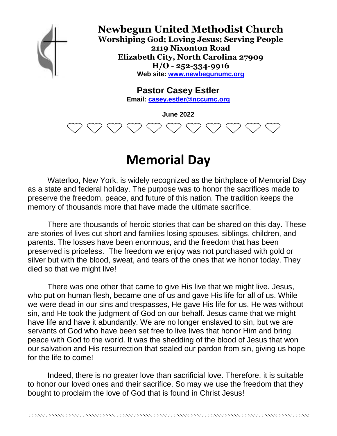

### **Newbegun United Methodist Church**

**Worshiping God; Loving Jesus; Serving People 2119 Nixonton Road Elizabeth City, North Carolina 27909 H/O - 252-334-9916 Web site: www.newbegunumc.org**

**Pastor Casey Estler**

**Email: casey.estler@nccumc.org**

**June 2022**

# **Memorial Day**

Waterloo, New York, is widely recognized as the birthplace of Memorial Day as a state and federal holiday. The purpose was to honor the sacrifices made to preserve the freedom, peace, and future of this nation. The tradition keeps the memory of thousands more that have made the ultimate sacrifice.

There are thousands of heroic stories that can be shared on this day. These are stories of lives cut short and families losing spouses, siblings, children, and parents. The losses have been enormous, and the freedom that has been preserved is priceless. The freedom we enjoy was not purchased with gold or silver but with the blood, sweat, and tears of the ones that we honor today. They died so that we might live!

There was one other that came to give His live that we might live. Jesus, who put on human flesh, became one of us and gave His life for all of us. While we were dead in our sins and trespasses, He gave His life for us. He was without sin, and He took the judgment of God on our behalf. Jesus came that we might have life and have it abundantly. We are no longer enslaved to sin, but we are servants of God who have been set free to live lives that honor Him and bring peace with God to the world. It was the shedding of the blood of Jesus that won our salvation and His resurrection that sealed our pardon from sin, giving us hope for the life to come!

Indeed, there is no greater love than sacrificial love. Therefore, it is suitable to honor our loved ones and their sacrifice. So may we use the freedom that they bought to proclaim the love of God that is found in Christ Jesus!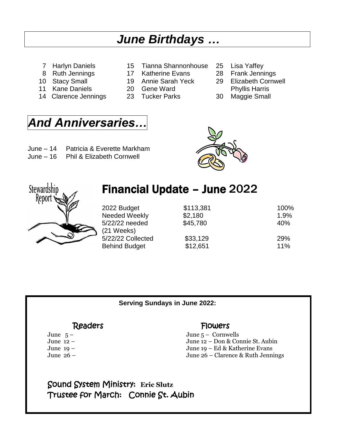# *June Birthdays …*

- 
- 
- 
- 11 Kane Daniels 20 Gene Ward **Phyllis Harris**
- 14 Clarence Jennings 23 Tucker Parks 30 Maggie Small
- 7 Harlyn Daniels 15 Tianna Shannonhouse 25 Lisa Yaffey
- 8 Ruth Jennings 17 Katherine Evans 28 Frank Jennings
	-
	-
	-
- 
- 
- 10 Stacy Small 19 Annie Sarah Yeck 29 Elizabeth Cornwell
	-
	-

## *And Anniversaries…*

- June 14 Patricia & Everette Markham
- June 16 Phil & Elizabeth Cornwell





### Financial Update – June 2022

| 2022 Budget<br><b>Needed Weekly</b><br>5/22/22 needed<br>$(21$ Weeks) | \$113,381<br>\$2,180<br>\$45,780 | 100%<br>1.9%<br>40% |
|-----------------------------------------------------------------------|----------------------------------|---------------------|
| 5/22/22 Collected                                                     | \$33,129                         | <b>29%</b>          |
| <b>Behind Budget</b>                                                  | \$12,651                         | 11%                 |

**Serving Sundays in June 2022:**

### ReadersFlowers

June 5 – June 5 – Cornwells June 12 – June 12 – Don & Connie St. Aubin June 19 – June 19 – Ed & Katherine Evans June 26 – June 26 – Clarence & Ruth Jennings

Sound System Ministry: **Eric Slutz** Trustee for March: Connie St. Aubin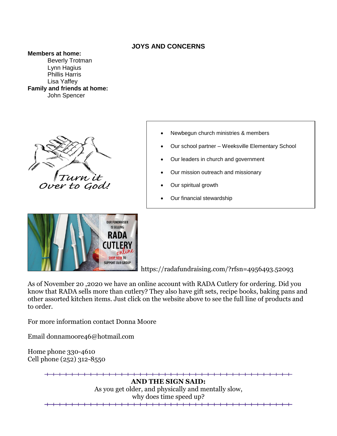### **JOYS AND CONCERNS**

#### **Members at home:**

Beverly Trotman Lynn Hagius Phillis Harris Lisa Yaffey **Family and friends at home:** John Spencer





- Newbegun church ministries & members
- Our school partner Weeksville Elementary School
- Our leaders in church and government
- Our mission outreach and missionary
- Our spiritual growth
- Our financial stewardship

https://radafundraising.com/?rfsn=4956493.52093

As of November 20 ,2020 we have an online account with RADA Cutlery for ordering. Did you know that RADA sells more than cutlery? They also have gift sets, recipe books, baking pans and other assorted kitchen items. Just click on the website above to see the full line of products and to order.

For more information contact Donna Moore

Email donnamoore46@hotmail.com

Home phone 330-4610 Cell phone (252) 312-8550

> <del>+ + + + +</del> **AND THE SIGN SAID:** As you get older, and physically and mentally slow, why does time speed up?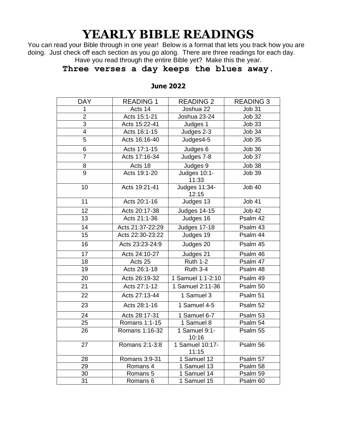# **YEARLY BIBLE READINGS**

You can read your Bible through in one year! Below is a format that lets you track how you are doing. Just check off each section as you go along. There are three readings for each day. Have you read through the entire Bible yet? Make this the year.

### **Three verses a day keeps the blues away.**

| <b>DAY</b>     | <b>READING 1</b> | <b>READING 2</b>             | <b>READING 3</b>    |
|----------------|------------------|------------------------------|---------------------|
| 1              | Acts 14          | Joshua 22                    | <b>Job 31</b>       |
| $\overline{2}$ | Acts 15:1-21     | Joshua 23-24                 | <b>Job 32</b>       |
| $\overline{3}$ | Acts 15:22-41    | Judges 1                     | <b>Job 33</b>       |
| $\overline{4}$ | Acts 16:1-15     | Judges 2-3                   | <b>Job 34</b>       |
| 5              | Acts 16:16-40    | Judges4-5                    | <b>Job 35</b>       |
| 6              | Acts 17:1-15     | Judges 6                     | <b>Job 36</b>       |
| $\overline{7}$ | Acts 17:16-34    | Judges 7-8                   | Job 37              |
| 8              | Acts 18          | Judges 9                     | Job 38              |
| $\overline{9}$ | Acts 19:1-20     | <b>Judges 10:1-</b><br>11:33 | <b>Job 39</b>       |
| 10             | Acts 19:21-41    | Judges 11:34-<br>12:15       | <b>Job 40</b>       |
| 11             | Acts 20:1-16     | Judges 13                    | <b>Job 41</b>       |
| 12             | Acts 20:17-38    | <b>Judges 14-15</b>          | <b>Job 42</b>       |
| 13             | Acts 21:1-36     | Judges 16                    | Psalm 42            |
| 14             | Acts 21:37-22:29 | <b>Judges 17-18</b>          | Psalm 43            |
| 15             | Acts 22:30-23:22 | Judges 19                    | Psalm 44            |
| 16             | Acts 23:23-24:9  | Judges 20                    | Psalm 45            |
| 17             | Acts 24:10-27    | Judges 21                    | Psalm 46            |
| 18             | Acts 25          | <b>Ruth 1-2</b>              | Psalm 47            |
| 19             | Acts 26:1-18     | <b>Ruth 3-4</b>              | Psalm 48            |
| 20             | Acts 26:19-32    | 1 Samuel 1:1-2:10            | Psalm 49            |
| 21             | Acts 27:1-12     | 1 Samuel 2:11-36             | Psalm 50            |
| 22             | Acts 27:13-44    | 1 Samuel 3                   | Psalm 51            |
| 23             | Acts 28:1-16     | 1 Samuel 4-5                 | Psalm <sub>52</sub> |
| 24             | Acts 28:17-31    | 1 Samuel 6-7                 | Psalm 53            |
| 25             | Romans 1:1-15    | 1 Samuel 8                   | Psalm 54            |
| 26             | Romans 1:16-32   | 1 Samuel 9:1-<br>10:16       | Psalm 55            |
| 27             | Romans 2:1-3:8   | 1 Samuel 10:17-<br>11:15     | Psalm 56            |
| 28             | Romans 3:9-31    | 1 Samuel 12                  | Psalm 57            |
| 29             | Romans 4         | 1 Samuel 13                  | Psalm 58            |
| 30             | Romans 5         | 1 Samuel 14                  | Psalm 59            |
| 31             | Romans 6         | 1 Samuel 15                  | Psalm 60            |

#### **June 2022**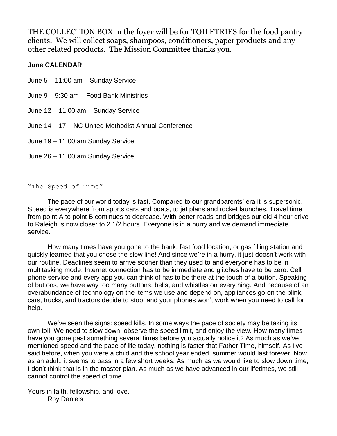THE COLLECTION BOX in the foyer will be for TOILETRIES for the food pantry clients. We will collect soaps, shampoos, conditioners, paper products and any other related products. The Mission Committee thanks you.

#### **June CALENDAR**

June 5 – 11:00 am – Sunday Service

June 9 – 9:30 am – Food Bank Ministries

June 12 – 11:00 am – Sunday Service

June 14 – 17 – NC United Methodist Annual Conference

June 19 – 11:00 am Sunday Service

June 26 – 11:00 am Sunday Service

#### "The Speed of Time"

The pace of our world today is fast. Compared to our grandparents' era it is supersonic. Speed is everywhere from sports cars and boats, to jet plans and rocket launches. Travel time from point A to point B continues to decrease. With better roads and bridges our old 4 hour drive to Raleigh is now closer to 2 1/2 hours. Everyone is in a hurry and we demand immediate service.

How many times have you gone to the bank, fast food location, or gas filling station and quickly learned that you chose the slow line! And since we're in a hurry, it just doesn't work with our routine. Deadlines seem to arrive sooner than they used to and everyone has to be in multitasking mode. Internet connection has to be immediate and glitches have to be zero. Cell phone service and every app you can think of has to be there at the touch of a button. Speaking of buttons, we have way too many buttons, bells, and whistles on everything. And because of an overabundance of technology on the items we use and depend on, appliances go on the blink, cars, trucks, and tractors decide to stop, and your phones won't work when you need to call for help.

We've seen the signs: speed kills. In some ways the pace of society may be taking its own toll. We need to slow down, observe the speed limit, and enjoy the view. How many times have you gone past something several times before you actually notice it? As much as we've mentioned speed and the pace of life today, nothing is faster that Father Time, himself. As I've said before, when you were a child and the school year ended, summer would last forever. Now, as an adult, it seems to pass in a few short weeks. As much as we would like to slow down time, I don't think that is in the master plan. As much as we have advanced in our lifetimes, we still cannot control the speed of time.

Yours in faith, fellowship, and love, Roy Daniels